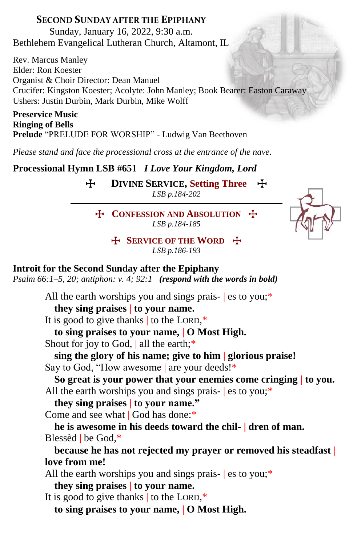## **SECOND SUNDAY AFTER THE EPIPHANY**

Sunday, January 16, 2022, 9:30 a.m. Bethlehem Evangelical Lutheran Church, Altamont, IL

Rev. Marcus Manley Elder: Ron Koester Organist & Choir Director: Dean Manuel Crucifer: Kingston Koester; Acolyte: John Manley; Book Bearer: Easton Caraway Ushers: Justin Durbin, Mark Durbin, Mike Wolff

**Preservice Music Ringing of Bells Prelude** "PRELUDE FOR WORSHIP" - Ludwig Van Beethoven

*Please stand and face the processional cross at the entrance of the nave.*

**Processional Hymn LSB #651** *I Love Your Kingdom, Lord*

T **DIVINE SERVICE, Setting Three** T *LSB p.184-202*

T **CONFESSION AND ABSOLUTION** T *LSB p.184-185*



T **SERVICE OF THE WORD** T *LSB p.186-193*

## **Introit for the Second Sunday after the Epiphany**

*Psalm 66:1–5, 20; antiphon: v. 4; 92:1 (respond with the words in bold)*

All the earth worships you and sings prais- es to you;<sup>\*</sup>

**they sing praises | to your name.**

It is good to give thanks  $\vert$  to the LORD,\*

**to sing praises to your name, | O Most High.** Shout for joy to God, | all the earth;<sup>\*</sup>

**sing the glory of his name; give to him | glorious praise!** Say to God, "How awesome | are your deeds!\*

**So great is your power that your enemies come cringing | to you.** All the earth worships you and sings prais- es to you;<sup>\*</sup>

**they sing praises | to your name."**

Come and see what | God has done:\*

**he is awesome in his deeds toward the chil- | dren of man.** Blessèd | be God,\*

**because he has not rejected my prayer or removed his steadfast | love from me!**

All the earth worships you and sings prais- es to you;\*

**they sing praises | to your name.**

It is good to give thanks  $\vert$  to the LORD,\*

**to sing praises to your name, | O Most High.**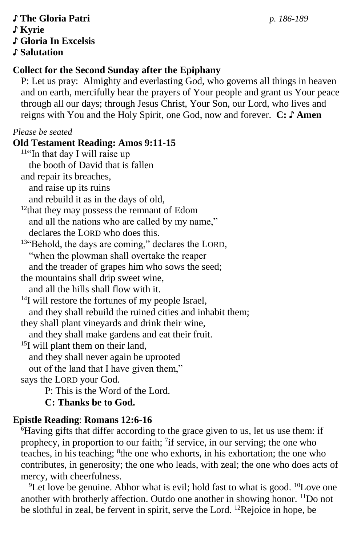### ♪ **The Gloria Patri** *p. 186-189* ♪ **Kyrie** ♪ **Gloria In Excelsis** ♪ **Salutation**

## **Collect for the Second Sunday after the Epiphany**

P: Let us pray: Almighty and everlasting God, who governs all things in heaven and on earth, mercifully hear the prayers of Your people and grant us Your peace through all our days; through Jesus Christ, Your Son, our Lord, who lives and reigns with You and the Holy Spirit, one God, now and forever. **C: ♪ Amen**

*Please be seated*

### **Old Testament Reading: Amos 9:11-15**

<sup>11"</sup>In that day I will raise up the booth of David that is fallen and repair its breaches, and raise up its ruins

and rebuild it as in the days of old,

 $12$ that they may possess the remnant of Edom and all the nations who are called by my name," declares the LORD who does this.

13"Behold, the days are coming," declares the LORD, "when the plowman shall overtake the reaper and the treader of grapes him who sows the seed;

the mountains shall drip sweet wine,

and all the hills shall flow with it.

<sup>14</sup>I will restore the fortunes of my people Israel, and they shall rebuild the ruined cities and inhabit them;

they shall plant vineyards and drink their wine,

and they shall make gardens and eat their fruit.

<sup>15</sup>I will plant them on their land,

and they shall never again be uprooted

out of the land that I have given them,"

says the LORD your God.

P: This is the Word of the Lord.

**C: Thanks be to God.**

# **Epistle Reading**: **Romans 12:6-16**

<sup>6</sup>Having gifts that differ according to the grace given to us, let us use them: if prophecy, in proportion to our faith;  $\frac{7}{1}$  if service, in our serving; the one who teaches, in his teaching; <sup>8</sup>the one who exhorts, in his exhortation; the one who contributes, in generosity; the one who leads, with zeal; the one who does acts of mercy, with cheerfulness.

<sup>9</sup>Let love be genuine. Abhor what is evil; hold fast to what is good. <sup>10</sup>Love one another with brotherly affection. Outdo one another in showing honor. <sup>11</sup>Do not be slothful in zeal, be fervent in spirit, serve the Lord. 12Rejoice in hope, be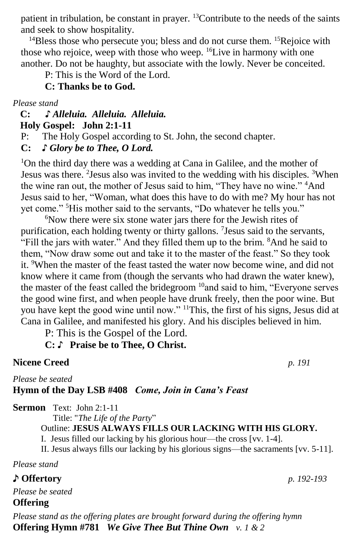patient in tribulation, be constant in prayer. <sup>13</sup>Contribute to the needs of the saints and seek to show hospitality.

 $14B$ less those who persecute you; bless and do not curse them.  $15R$ ejoice with those who rejoice, weep with those who weep. <sup>16</sup>Live in harmony with one another. Do not be haughty, but associate with the lowly. Never be conceited.

P: This is the Word of the Lord.

#### **C: Thanks be to God.**

*Please stand*

### **C: ♪** *Alleluia. Alleluia. Alleluia.*  **Holy Gospel: John 2:1-11**

P: The Holy Gospel according to St. John, the second chapter.

**C:** *♪ Glory be to Thee, O Lord.*

<sup>1</sup>On the third day there was a wedding at Cana in Galilee, and the mother of Jesus was there. <sup>2</sup> Jesus also was invited to the wedding with his disciples. <sup>3</sup> When the wine ran out, the mother of Jesus said to him, "They have no wine." <sup>4</sup>And Jesus said to her, "Woman, what does this have to do with me? My hour has not yet come." <sup>5</sup>His mother said to the servants, "Do whatever he tells you."

 $6$ Now there were six stone water jars there for the Jewish rites of purification, each holding twenty or thirty gallons. <sup>7</sup> Jesus said to the servants, "Fill the jars with water." And they filled them up to the brim. <sup>8</sup>And he said to them, "Now draw some out and take it to the master of the feast." So they took it. <sup>9</sup>When the master of the feast tasted the water now become wine, and did not know where it came from (though the servants who had drawn the water knew), the master of the feast called the bridegroom  $10$  and said to him, "Everyone serves the good wine first, and when people have drunk freely, then the poor wine. But you have kept the good wine until now." <sup>11</sup>This, the first of his signs, Jesus did at Cana in Galilee, and manifested his glory. And his disciples believed in him.

P: This is the Gospel of the Lord.

## **C:** ♪ **Praise be to Thee, O Christ.**

#### **Nicene Creed** *p. 191*

*Please be seated*

### **Hymn of the Day LSB #408** *Come, Join in Cana's Feast*

**Sermon** Text: John 2:1-11

Title: "*The Life of the Party*"

#### Outline: **JESUS ALWAYS FILLS OUR LACKING WITH HIS GLORY.**

I. Jesus filled our lacking by his glorious hour—the cross [vv. 1-4].

II. Jesus always fills our lacking by his glorious signs—the sacraments [vv. 5-11].

*Please stand*

### ♪ **Offertory** *p. 192-193*

*Please be seated* **Offering** 

*Please stand as the offering plates are brought forward during the offering hymn* **Offering Hymn #781** *We Give Thee But Thine Own v. 1 & 2*